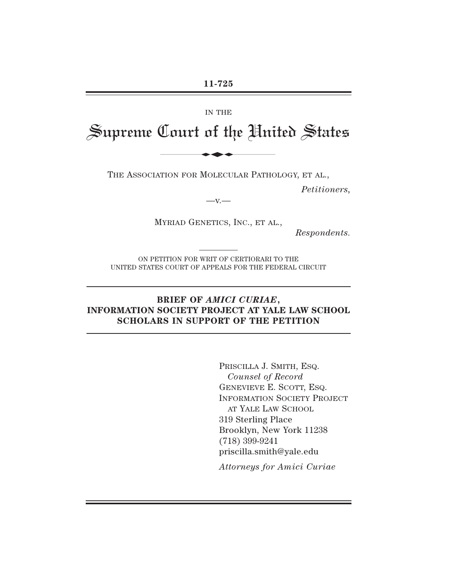#### IN THE

# Supreme Court of the United States IN THE<br>
In THE<br>
Dout of the Hui

THE ASSOCIATION FOR MOLECULAR PATHOLOGY, ET AL.,

*Petitioners,*

 $-x -$ 

MYRIAD GENETICS, INC., ET AL.,

*Respondents.*

ON PETITION FOR WRIT OF CERTIORARI TO THE UNITED STATES COURT OF APPEALS FOR THE FEDERAL CIRCUIT

## **BRIEF OF** *AMICI CURIAE***, INFORMATION SOCIETY PROJECT AT YALE LAW SCHOOL SCHOLARS IN SUPPORT OF THE PETITION**

PRISCILLA J. SMITH, ESQ. *Counsel of Record* GENEVIEVE E. SCOTT, ESQ. INFORMATION SOCIETY PROJECT AT YALE LAW SCHOOL 319 Sterling Place Brooklyn, New York 11238 (718) 399-9241 priscilla.smith@yale.edu

*Attorneys for Amici Curiae*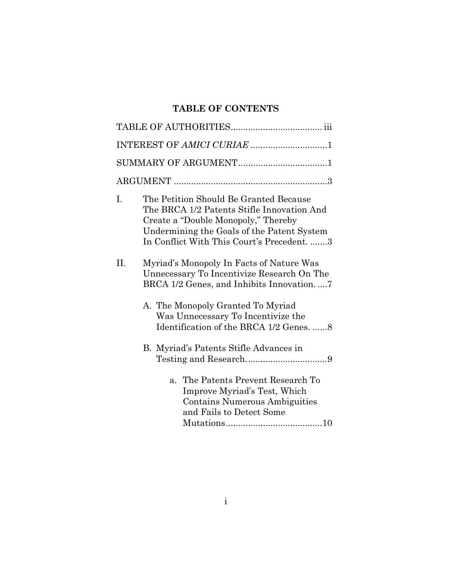# **TABLE OF CONTENTS**

|     | INTEREST OF AMICI CURIAE 1                                                                                                                                                                                            |  |  |  |  |  |
|-----|-----------------------------------------------------------------------------------------------------------------------------------------------------------------------------------------------------------------------|--|--|--|--|--|
|     |                                                                                                                                                                                                                       |  |  |  |  |  |
|     |                                                                                                                                                                                                                       |  |  |  |  |  |
| I.  | The Petition Should Be Granted Because<br>The BRCA 1/2 Patents Stifle Innovation And<br>Create a "Double Monopoly," Thereby<br>Undermining the Goals of the Patent System<br>In Conflict With This Court's Precedent3 |  |  |  |  |  |
| II. | Myriad's Monopoly In Facts of Nature Was<br>Unnecessary To Incentivize Research On The<br>BRCA 1/2 Genes, and Inhibits Innovation7                                                                                    |  |  |  |  |  |
|     | A. The Monopoly Granted To Myriad<br>Was Unnecessary To Incentivize the<br>Identification of the BRCA 1/2 Genes. 8                                                                                                    |  |  |  |  |  |
|     | B. Myriad's Patents Stifle Advances in                                                                                                                                                                                |  |  |  |  |  |
|     | The Patents Prevent Research To<br>$\mathbf{a}$ .<br>Improve Myriad's Test, Which<br><b>Contains Numerous Ambiguities</b><br>and Fails to Detect Some                                                                 |  |  |  |  |  |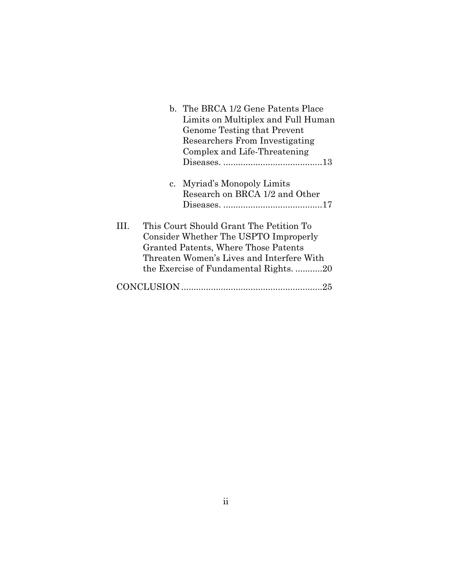|                                                                                   | b. The BRCA 1/2 Gene Patents Place                                               |  |  |  |  |  |
|-----------------------------------------------------------------------------------|----------------------------------------------------------------------------------|--|--|--|--|--|
|                                                                                   | Limits on Multiplex and Full Human                                               |  |  |  |  |  |
|                                                                                   | Genome Testing that Prevent                                                      |  |  |  |  |  |
|                                                                                   | Researchers From Investigating                                                   |  |  |  |  |  |
|                                                                                   | Complex and Life-Threatening                                                     |  |  |  |  |  |
|                                                                                   |                                                                                  |  |  |  |  |  |
|                                                                                   | c. Myriad's Monopoly Limits                                                      |  |  |  |  |  |
|                                                                                   | Research on BRCA 1/2 and Other                                                   |  |  |  |  |  |
|                                                                                   |                                                                                  |  |  |  |  |  |
| Ш                                                                                 | This Court Should Grant The Petition To<br>Consider Whether The USPTO Improperly |  |  |  |  |  |
| Granted Patents, Where Those Patents<br>Threaten Women's Lives and Interfere With |                                                                                  |  |  |  |  |  |
|                                                                                   |                                                                                  |  |  |  |  |  |
|                                                                                   | 25                                                                               |  |  |  |  |  |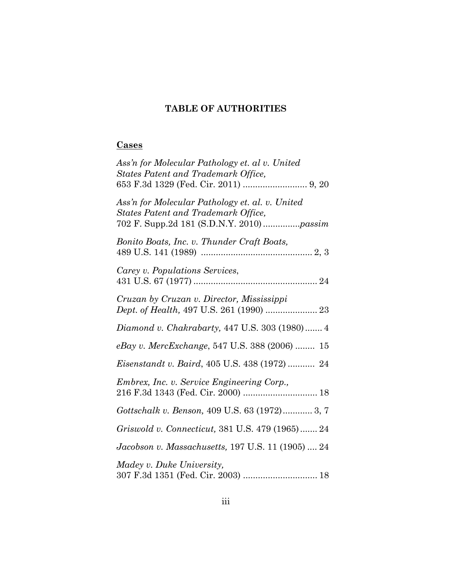# **TABLE OF AUTHORITIES**

# **Cases**

| Ass'n for Molecular Pathology et. al v. United<br><b>States Patent and Trademark Office,</b>                                        |
|-------------------------------------------------------------------------------------------------------------------------------------|
| Ass'n for Molecular Pathology et. al. v. United<br>States Patent and Trademark Office,<br>702 F. Supp.2d 181 (S.D.N.Y. 2010) passim |
| Bonito Boats, Inc. v. Thunder Craft Boats,                                                                                          |
| Carey v. Populations Services,                                                                                                      |
| Cruzan by Cruzan v. Director, Mississippi<br>Dept. of Health, 497 U.S. 261 (1990)  23                                               |
| Diamond v. Chakrabarty, 447 U.S. 303 (1980)  4                                                                                      |
| eBay v. MercExchange, 547 U.S. 388 (2006)  15                                                                                       |
| Eisenstandt v. Baird, 405 U.S. 438 (1972)  24                                                                                       |
| <i>Embrex, Inc. v. Service Engineering Corp.,</i>                                                                                   |
| Gottschalk v. Benson, 409 U.S. 63 (1972) 3, 7                                                                                       |
| Griswold v. Connecticut, 381 U.S. 479 (1965) 24                                                                                     |
| Jacobson v. Massachusetts, 197 U.S. 11 (1905)  24                                                                                   |
| Madey v. Duke University,<br>307 F.3d 1351 (Fed. Cir. 2003)  18                                                                     |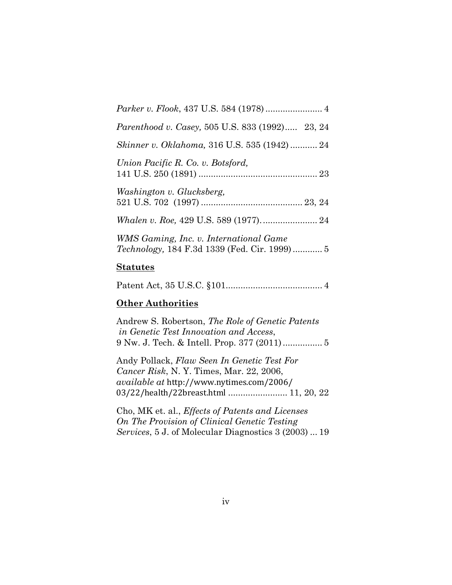| Parenthood v. Casey, 505 U.S. 833 (1992) 23, 24    |
|----------------------------------------------------|
| <i>Skinner v. Oklahoma, 316 U.S. 535 (1942) 24</i> |
| Union Pacific R. Co. v. Botsford,                  |
| Washington v. Glucksberg,                          |
|                                                    |
| WMS Gaming, Inc. v. International Game             |

#### **Statutes**

|--|--|--|--|

## **Other Authorities**

Andrew S. Robertson, *The Role of Genetic Patents in Genetic Test Innovation and Access*, 9 Nw. J. Tech. & Intell. Prop. 377 (2011) ................ 5

Andy Pollack, *Flaw Seen In Genetic Test For Cancer Risk*, N. Y. Times, Mar. 22, 2006, *available at http://www.nytimes.com/2006/* 03/22/health/22breast.html ......................... 11, 20, 22

Cho, MK et. al., *Effects of Patents and Licenses On The Provision of Clinical Genetic Testing Services*, 5 J. of Molecular Diagnostics 3 (2003) ... 19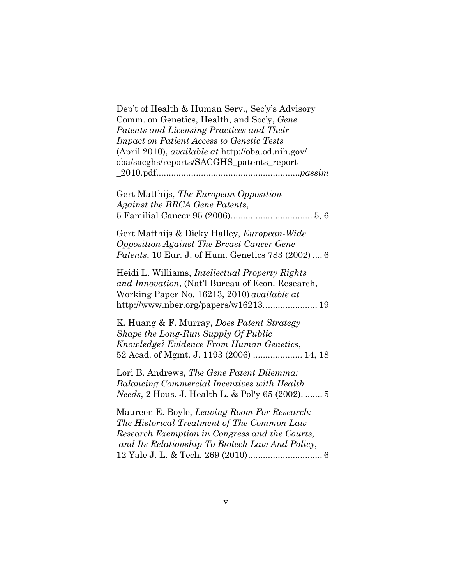Dep't of Health & Human Serv., Sec'y's Advisory Comm. on Genetics, Health, and Soc'y, *Gene Patents and Licensing Practices and Their Impact on Patient Access to Genetic Tests*  (April 2010), *available at* http://oba.od.nih.gov/ oba/sacghs/reports/SACGHS\_patents\_report \_2010.pdf ..........................................................*passim*

Gert Matthijs, *The European Opposition Against the BRCA Gene Patents*, 5 Familial Cancer 95 (2006) ................................. 5, 6

Gert Matthijs & Dicky Halley, *European-Wide Opposition Against The Breast Cancer Gene Patents*, 10 Eur. J. of Hum. Genetics 783 (2002) .... 6

Heidi L. Williams, *Intellectual Property Rights and Innovation*, (Nat'l Bureau of Econ. Research, Working Paper No. 16213, 2010) *available at*  http://www.nber.org/papers/w16213. ..................... 19

K. Huang & F. Murray, *Does Patent Strategy Shape the Long-Run Supply Of Public Knowledge? Evidence From Human Genetics*, 52 Acad. of Mgmt. J. 1193 (2006) .................... 14, 18

Lori B. Andrews, *The Gene Patent Dilemma: Balancing Commercial Incentives with Health Needs*, 2 Hous. J. Health L. & Pol'y 65 (2002). ....... 5

Maureen E. Boyle, *Leaving Room For Research: The Historical Treatment of The Common Law Research Exemption in Congress and the Courts, and Its Relationship To Biotech Law And Policy*, 12 Yale J. L. & Tech. 269 (2010) .............................. 6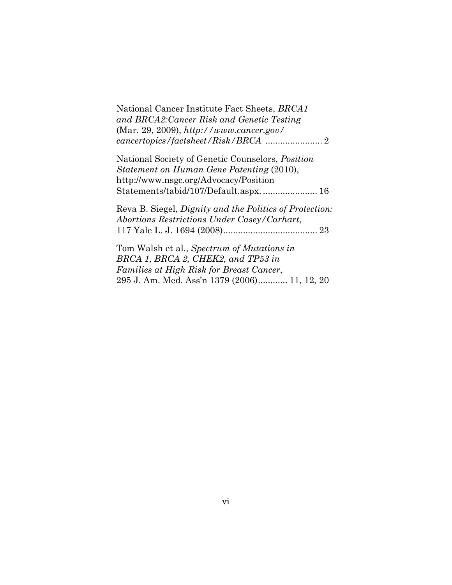National Cancer Institute Fact Sheets, *BRCA1 and BRCA2:Cancer Risk and Genetic Testing*  (Mar. 29, 2009), *http://www.cancer.gov/ cancertopics/factsheet/Risk/BRCA* ....................... 2

National Society of Genetic Counselors, *Position Statement on Human Gene Patenting* (2010), http://www.nsgc.org/Advocacy/Position Statements/tabid/107/Default.aspx. ...................... 16

Reva B. Siegel, *Dignity and the Politics of Protection: Abortions Restrictions Under Casey/Carhart*, 117 Yale L. J. 1694 (2008) ...................................... 23

Tom Walsh et al., *Spectrum of Mutations in BRCA 1, BRCA 2, CHEK2, and TP53 in Families at High Risk for Breast Cancer*, 295 J. Am. Med. Ass'n 1379 (2006) ............ 11, 12, 20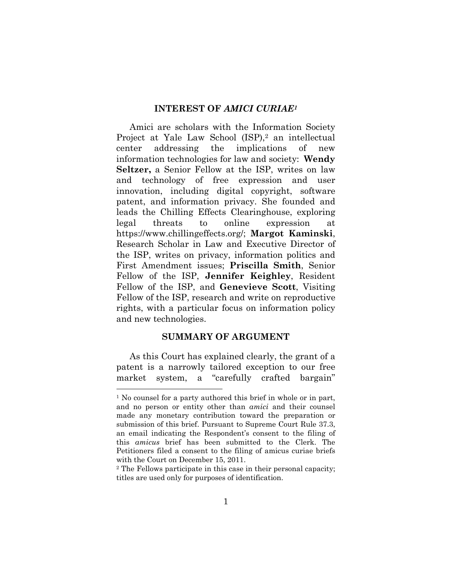#### **INTEREST OF** *AMICI CURIAE1*

Amici are scholars with the Information Society Project at Yale Law School (ISP),<sup>2</sup> an intellectual center addressing the implications of new information technologies for law and society: **Wendy Seltzer,** a Senior Fellow at the ISP, writes on law and technology of free expression and user innovation, including digital copyright, software patent, and information privacy. She founded and leads the Chilling Effects Clearinghouse, exploring legal threats to online expression at https://www.chillingeffects.org/; **Margot Kaminski**, Research Scholar in Law and Executive Director of the ISP, writes on privacy, information politics and First Amendment issues; **Priscilla Smith**, Senior Fellow of the ISP, **Jennifer Keighley**, Resident Fellow of the ISP, and **Genevieve Scott**, Visiting Fellow of the ISP, research and write on reproductive rights, with a particular focus on information policy and new technologies.

#### **SUMMARY OF ARGUMENT**

As this Court has explained clearly, the grant of a patent is a narrowly tailored exception to our free market system, a "carefully crafted bargain"

<sup>&</sup>lt;sup>1</sup> No counsel for a party authored this brief in whole or in part, and no person or entity other than *amici* and their counsel made any monetary contribution toward the preparation or submission of this brief. Pursuant to Supreme Court Rule 37.3, an email indicating the Respondent's consent to the filing of this *amicus* brief has been submitted to the Clerk. The Petitioners filed a consent to the filing of amicus curiae briefs with the Court on December 15, 2011.

<sup>2</sup> The Fellows participate in this case in their personal capacity; titles are used only for purposes of identification.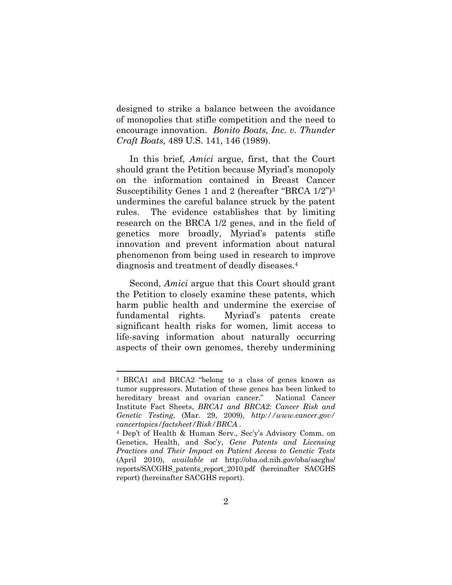designed to strike a balance between the avoidance of monopolies that stifle competition and the need to encourage innovation. *Bonito Boats, Inc. v. Thunder Craft Boats,* 489 U.S. 141, 146 (1989).

In this brief, *Amici* argue, first, that the Court should grant the Petition because Myriad's monopoly on the information contained in Breast Cancer Susceptibility Genes 1 and 2 (hereafter "BRCA  $1/2$ ")<sup>3</sup> undermines the careful balance struck by the patent rules. The evidence establishes that by limiting research on the BRCA 1/2 genes, and in the field of genetics more broadly, Myriad's patents stifle innovation and prevent information about natural phenomenon from being used in research to improve diagnosis and treatment of deadly diseases.4

Second, *Amici* argue that this Court should grant the Petition to closely examine these patents, which harm public health and undermine the exercise of fundamental rights. Myriad's patents create significant health risks for women, limit access to life-saving information about naturally occurring aspects of their own genomes, thereby undermining

<sup>&</sup>lt;sup>3</sup> BRCA1 and BRCA2 "belong to a class of genes known as tumor suppressors. Mutation of these genes has been linked to hereditary breast and ovarian cancer." National Cancer Institute Fact Sheets, *BRCA1 and BRCA2: Cancer Risk and Genetic Testing*, (Mar. 29, 2009), *http://www.cancer.gov/ cancertopics/factsheet/Risk/BRCA .*

<sup>&</sup>lt;sup>4</sup> Dep't of Health & Human Serv., Sec'y's Advisory Comm. on Genetics, Health, and Soc'y, *Gene Patents and Licensing Practices and Their Impact on Patient Access to Genetic Tests* (April 2010), *available at* http://oba.od.nih.gov/oba/sacghs/ reports/SACGHS\_patents\_report\_2010.pdf (hereinafter SACGHS report) (hereinafter SACGHS report).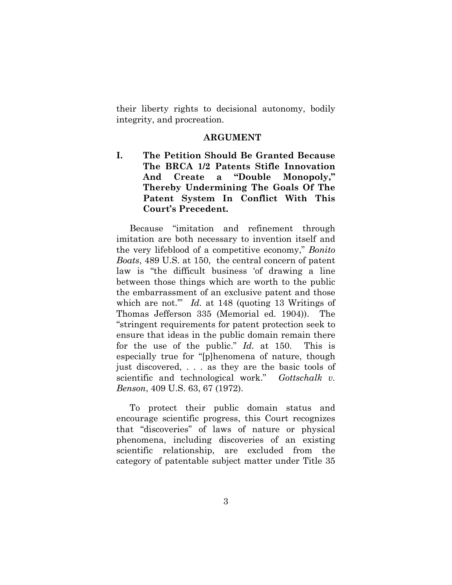their liberty rights to decisional autonomy, bodily integrity, and procreation.

#### **ARGUMENT**

**I. The Petition Should Be Granted Because The BRCA 1/2 Patents Stifle Innovation**  And Create a "Double Monopoly," **Thereby Undermining The Goals Of The Patent System In Conflict With This Court's Precedent.** 

Because "imitation and refinement through imitation are both necessary to invention itself and the very lifeblood of a competitive economy," *Bonito Boats*, 489 U.S. at 150, the central concern of patent law is "the difficult business 'of drawing a line between those things which are worth to the public the embarrassment of an exclusive patent and those which are not." *Id.* at 148 (quoting 13 Writings of Thomas Jefferson 335 (Memorial ed. 1904)). The "stringent requirements for patent protection seek to ensure that ideas in the public domain remain there for the use of the public." *Id.* at 150. This is especially true for "[p]henomena of nature, though just discovered, . . . as they are the basic tools of scientific and technological work." *Gottschalk v. Benson*, 409 U.S. 63, 67 (1972).

To protect their public domain status and encourage scientific progress, this Court recognizes that "discoveries" of laws of nature or physical phenomena, including discoveries of an existing scientific relationship, are excluded from the category of patentable subject matter under Title 35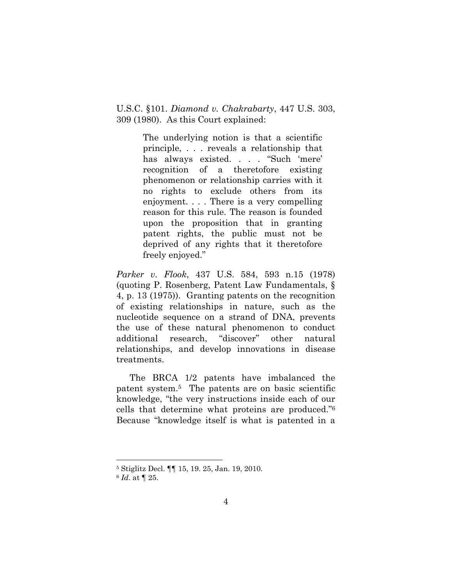U.S.C. §101. *Diamond v. Chakrabarty*, 447 U.S. 303, 309 (1980). As this Court explained:

> The underlying notion is that a scientific principle, . . . reveals a relationship that has always existed. . . . "Such 'mere' recognition of a theretofore existing phenomenon or relationship carries with it no rights to exclude others from its enjoyment. . . . There is a very compelling reason for this rule. The reason is founded upon the proposition that in granting patent rights, the public must not be deprived of any rights that it theretofore freely enjoyed."

*Parker v. Flook*, 437 U.S. 584, 593 n.15 (1978) (quoting P. Rosenberg, Patent Law Fundamentals, § 4, p. 13 (1975)). Granting patents on the recognition of existing relationships in nature, such as the nucleotide sequence on a strand of DNA, prevents the use of these natural phenomenon to conduct additional research, "discover" other natural relationships, and develop innovations in disease treatments.

The BRCA 1/2 patents have imbalanced the patent system.5 The patents are on basic scientific knowledge, "the very instructions inside each of our cells that determine what proteins are produced."<sup>6</sup> Because "knowledge itself is what is patented in a

<sup>5</sup> Stiglitz Decl. ¶¶ 15, 19. 25, Jan. 19, 2010.

<sup>6</sup> *Id*. at ¶ 25.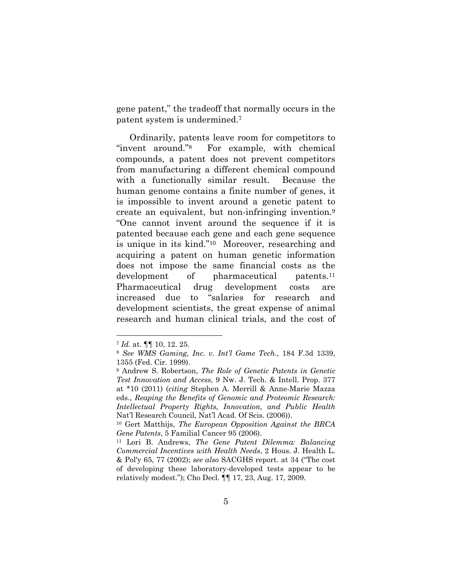gene patent," the tradeoff that normally occurs in the patent system is undermined.7

Ordinarily, patents leave room for competitors to "invent around."<sup>8</sup> For example, with chemical compounds, a patent does not prevent competitors from manufacturing a different chemical compound with a functionally similar result. Because the human genome contains a finite number of genes, it is impossible to invent around a genetic patent to create an equivalent, but non-infringing invention.9 "One cannot invent around the sequence if it is patented because each gene and each gene sequence is unique in its kind." $10$  Moreover, researching and acquiring a patent on human genetic information does not impose the same financial costs as the development of pharmaceutical patents.<sup>11</sup> Pharmaceutical drug development costs are increased due to "salaries for research and development scientists, the great expense of animal research and human clinical trials, and the cost of

<sup>7</sup> *Id.* at. ¶¶ 10, 12. 25.

<sup>8</sup> *See WMS Gaming, Inc. v. Int\*l Game Tech.*, 184 F.3d 1339, 1355 (Fed. Cir. 1999).

<sup>9</sup> Andrew S. Robertson, *The Role of Genetic Patents in Genetic Test Innovation and Access*, 9 Nw. J. Tech. & Intell. Prop. 377 at \*10 (2011) (*citing* Stephen A. Merrill & Anne-Marie Mazza eds., *Reaping the Benefits of Genomic and Proteomic Research: Intellectual Property Rights, Innovation, and Public Health* Nat'l Research Council, Nat'l Acad. Of Scis. (2006)).

<sup>10</sup> Gert Matthijs, *The European Opposition Against the BRCA Gene Patents*, 5 Familial Cancer 95 (2006). 11 Lori B. Andrews, *The Gene Patent Dilemma: Balancing* 

*Commercial Incentives with Health Needs*, 2 Hous. J. Health L. & Pol'y 65, 77 (2002); *see also* SACGHS report. at 34 ("The cost" of developing these laboratory-developed tests appear to be relatively modest."); Cho Decl.  $\P\P$  17, 23, Aug. 17, 2009.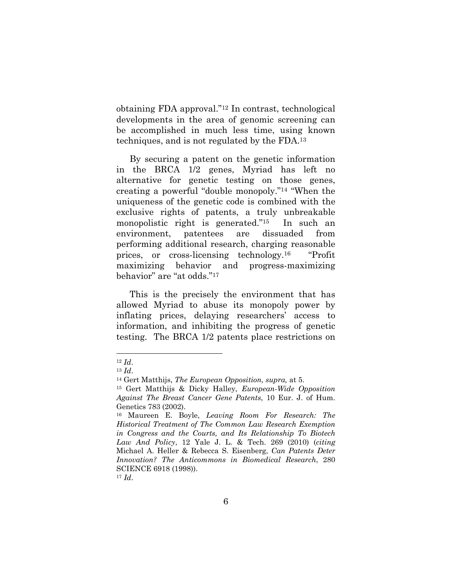obtaining FDA approval." $12$  In contrast, technological developments in the area of genomic screening can be accomplished in much less time, using known techniques, and is not regulated by the FDA.13

By securing a patent on the genetic information in the BRCA 1/2 genes, Myriad has left no alternative for genetic testing on those genes, creating a powerful "double monopoly." $14$  "When the uniqueness of the genetic code is combined with the exclusive rights of patents, a truly unbreakable monopolistic right is generated. $15$  In such an environment, patentees are dissuaded from performing additional research, charging reasonable prices, or cross-licensing technology.<sup>16</sup> "Profit" maximizing behavior and progress-maximizing behavior" are "at odds."17

This is the precisely the environment that has allowed Myriad to abuse its monopoly power by inflating prices, delaying researchers' access to information, and inhibiting the progress of genetic testing. The BRCA 1/2 patents place restrictions on

<sup>12</sup> *Id*. 13 *Id*. 14 Gert Matthijs, *The European Opposition, supra,* at 5.

<sup>15</sup> Gert Matthijs & Dicky Halley, *European-Wide Opposition Against The Breast Cancer Gene Patents*, 10 Eur. J. of Hum. Genetics 783 (2002).

<sup>16</sup> Maureen E. Boyle, *Leaving Room For Research: The Historical Treatment of The Common Law Research Exemption in Congress and the Courts, and Its Relationship To Biotech Law And Policy*, 12 Yale J. L. & Tech. 269 (2010) (*citing* Michael A. Heller & Rebecca S. Eisenberg, *Can Patents Deter Innovation? The Anticommons in Biomedical Research*, 280 SCIENCE 6918 (1998)).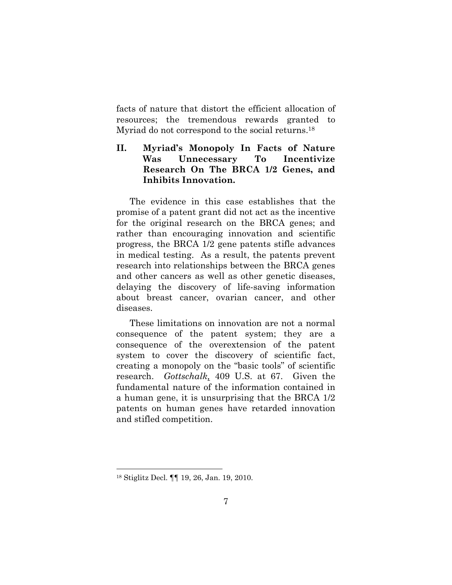facts of nature that distort the efficient allocation of resources; the tremendous rewards granted to Myriad do not correspond to the social returns.<sup>18</sup>

# II. Myriad's Monopoly In Facts of Nature **Was Unnecessary To Incentivize Research On The BRCA 1/2 Genes, and Inhibits Innovation.**

The evidence in this case establishes that the promise of a patent grant did not act as the incentive for the original research on the BRCA genes; and rather than encouraging innovation and scientific progress, the BRCA 1/2 gene patents stifle advances in medical testing. As a result, the patents prevent research into relationships between the BRCA genes and other cancers as well as other genetic diseases, delaying the discovery of life-saving information about breast cancer, ovarian cancer, and other diseases.

These limitations on innovation are not a normal consequence of the patent system; they are a consequence of the overextension of the patent system to cover the discovery of scientific fact, creating a monopoly on the "basic tools" of scientific research. *Gottschalk,* 409 U.S. at 67. Given the fundamental nature of the information contained in a human gene, it is unsurprising that the BRCA 1/2 patents on human genes have retarded innovation and stifled competition.

<sup>18</sup> Stiglitz Decl. ¶¶ 19, 26, Jan. 19, 2010.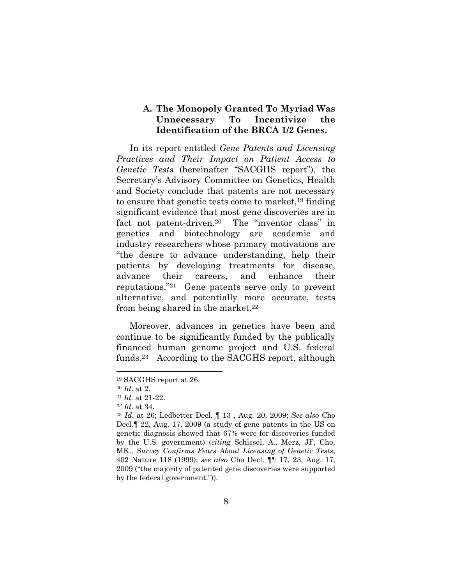#### **A. The Monopoly Granted To Myriad Was Unnecessary To Incentivize the Identification of the BRCA 1/2 Genes.**

In its report entitled *Gene Patents and Licensing Practices and Their Impact on Patient Access to Genetic Tests* (hereinafter "SACGHS report"), the Secretary's Advisory Committee on Genetics, Health and Society conclude that patents are not necessary to ensure that genetic tests come to market,19 finding significant evidence that most gene discoveries are in fact not patent-driven.<sup>20</sup> The "inventor class" in genetics and biotechnology are academic and industry researchers whose primary motivations are "the desire to advance understanding, help their patients by developing treatments for disease, advance their careers, and enhance their reputations."<sup>21</sup> Gene patents serve only to prevent alternative, and potentially more accurate, tests from being shared in the market.22

Moreover, advances in genetics have been and continue to be significantly funded by the publically financed human genome project and U.S. federal funds.23 According to the SACGHS report, although

<sup>19</sup> SACGHS report at 26.

<sup>20</sup> *Id*. at 2. 21 *Id.* at 21-22. *22 Id*. at 34.

<sup>23</sup> *Id*. at 26; Ledbetter Decl. ¶ 13 , Aug. 20, 2009; *See also* Cho Decl.¶ 22, Aug. 17, 2009 (a study of gene patents in the US on genetic diagnosis showed that 67% were for discoveries funded by the U.S. government) (*citing* Schissel, A., Merz, JF, Cho, MK., *Survey Confirms Fears About Licensing of Genetic Tests*, 402 Nature 118 (1999); *see also* Cho Decl. ¶¶ 17, 23, Aug. 17, 2009 ("the majority of patented gene discoveries were supported by the federal government." $)$ ).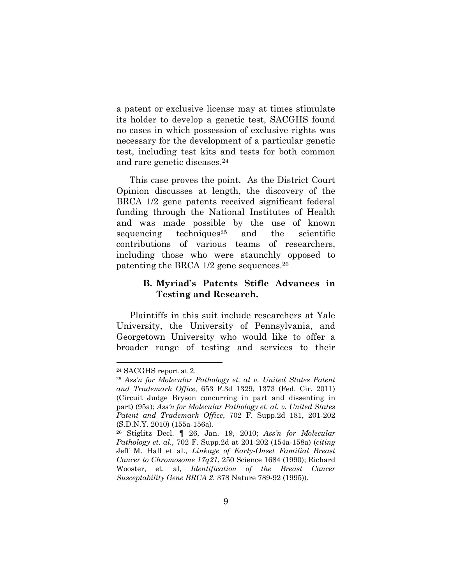a patent or exclusive license may at times stimulate its holder to develop a genetic test, SACGHS found no cases in which possession of exclusive rights was necessary for the development of a particular genetic test, including test kits and tests for both common and rare genetic diseases.24

This case proves the point. As the District Court Opinion discusses at length, the discovery of the BRCA 1/2 gene patents received significant federal funding through the National Institutes of Health and was made possible by the use of known sequencing techniques<sup>25</sup> and the scientific contributions of various teams of researchers, including those who were staunchly opposed to patenting the BRCA 1/2 gene sequences.26

#### **B.** Myriad's Patents Stifle Advances in **Testing and Research.**

Plaintiffs in this suit include researchers at Yale University, the University of Pennsylvania, and Georgetown University who would like to offer a broader range of testing and services to their

<sup>24</sup> SACGHS report at 2.

<sup>&</sup>lt;sup>25</sup> Ass'n for Molecular Pathology et. al v. United States Patent *and Trademark Office,* 653 F.3d 1329, 1373 (Fed. Cir. 2011) (Circuit Judge Bryson concurring in part and dissenting in part) (95a); *Ass\*n for Molecular Pathology et. al. v. United States Patent and Trademark Office*, 702 F. Supp.2d 181, 201-202 (S.D.N.Y. 2010) (155a-156a).

<sup>26</sup> Stiglitz Decl. ¶ 26, Jan. 19, 2010; *Ass\*n for Molecular Pathology et. al.,* 702 F. Supp.2d at 201-202 (154a-158a) (*citing* Jeff M. Hall et al., *Linkage of Early-Onset Familial Breast Cancer to Chromosome 17q21*, 250 Science 1684 (1990); Richard Wooster, et. al, *Identification of the Breast Cancer Susceptability Gene BRCA 2*, 378 Nature 789-92 (1995)).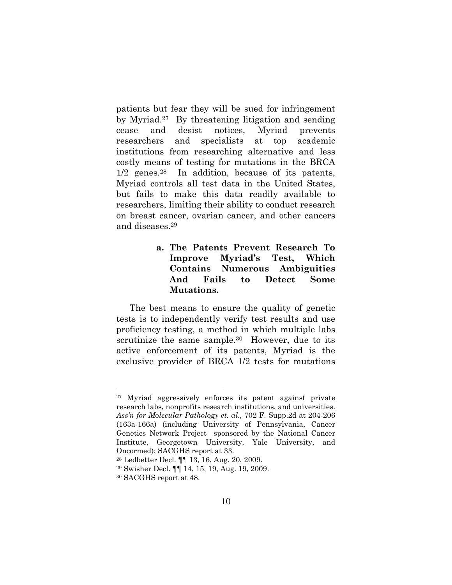patients but fear they will be sued for infringement by Myriad.27 By threatening litigation and sending cease and desist notices, Myriad prevents researchers and specialists at top academic institutions from researching alternative and less costly means of testing for mutations in the BRCA 1/2 genes.28 In addition, because of its patents, Myriad controls all test data in the United States, but fails to make this data readily available to researchers, limiting their ability to conduct research on breast cancer, ovarian cancer, and other cancers and diseases.29

## **a. The Patents Prevent Research To Improve Myriad's Test, Which Contains Numerous Ambiguities And Fails to Detect Some Mutations.**

The best means to ensure the quality of genetic tests is to independently verify test results and use proficiency testing, a method in which multiple labs scrutinize the same sample.<sup>30</sup> However, due to its active enforcement of its patents, Myriad is the exclusive provider of BRCA 1/2 tests for mutations

<sup>27</sup> Myriad aggressively enforces its patent against private research labs, nonprofits research institutions, and universities. *Ass\*n for Molecular Pathology et. al.,* 702 F. Supp.2d at 204-206 (163a-166a) (including University of Pennsylvania, Cancer Genetics Network Project sponsored by the National Cancer Institute, Georgetown University, Yale University, and Oncormed); SACGHS report at 33.

<sup>28</sup> Ledbetter Decl. ¶¶ 13, 16, Aug. 20, 2009.

<sup>29</sup> Swisher Decl. ¶¶ 14, 15, 19, Aug. 19, 2009.

<sup>30</sup> SACGHS report at 48.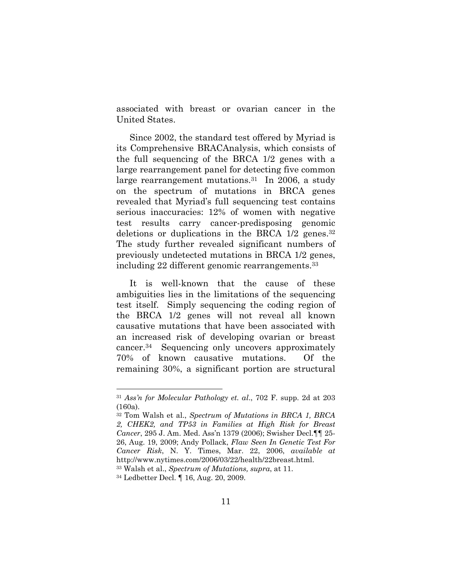associated with breast or ovarian cancer in the United States.

Since 2002, the standard test offered by Myriad is its Comprehensive BRACAnalysis, which consists of the full sequencing of the BRCA 1/2 genes with a large rearrangement panel for detecting five common large rearrangement mutations.<sup>31</sup> In 2006, a study on the spectrum of mutations in BRCA genes revealed that Myriad's full sequencing test contains serious inaccuracies: 12% of women with negative test results carry cancer-predisposing genomic deletions or duplications in the BRCA 1/2 genes.<sup>32</sup> The study further revealed significant numbers of previously undetected mutations in BRCA 1/2 genes, including 22 different genomic rearrangements.33

It is well-known that the cause of these ambiguities lies in the limitations of the sequencing test itself. Simply sequencing the coding region of the BRCA 1/2 genes will not reveal all known causative mutations that have been associated with an increased risk of developing ovarian or breast cancer.34 Sequencing only uncovers approximately 70% of known causative mutations. Of the remaining 30%, a significant portion are structural

<sup>31</sup> *Ass\*n for Molecular Pathology et. al*., 702 F. supp. 2d at 203 (160a).

<sup>32</sup> Tom Walsh et al., *Spectrum of Mutations in BRCA 1, BRCA 2, CHEK2, and TP53 in Families at High Risk for Breast Cancer*, 295 J. Am. Med. Ass'n 1379 (2006); Swisher Decl. <sup>[1]</sup> 25-26, Aug. 19, 2009; Andy Pollack, *Flaw Seen In Genetic Test For Cancer Risk*, N. Y. Times, Mar. 22, 2006, *available at* http://www.nytimes.com/2006/03/22/health/22breast.html.

<sup>33</sup> Walsh et al., *Spectrum of Mutations, supra*, at 11.

<sup>34</sup> Ledbetter Decl. ¶ 16, Aug. 20, 2009.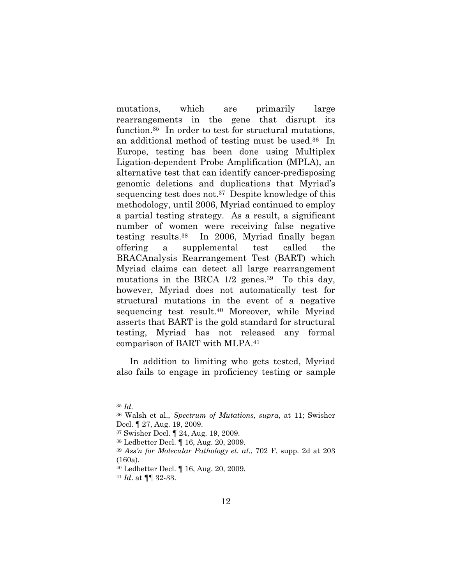mutations, which are primarily large rearrangements in the gene that disrupt its function.35 In order to test for structural mutations, an additional method of testing must be used.36 In Europe, testing has been done using Multiplex Ligation-dependent Probe Amplification (MPLA), an alternative test that can identify cancer-predisposing genomic deletions and duplications that Myriad's sequencing test does not.37 Despite knowledge of this methodology, until 2006, Myriad continued to employ a partial testing strategy. As a result, a significant number of women were receiving false negative testing results.38 In 2006, Myriad finally began offering a supplemental test called the BRACAnalysis Rearrangement Test (BART) which Myriad claims can detect all large rearrangement mutations in the BRCA  $1/2$  genes.<sup>39</sup> To this day, however, Myriad does not automatically test for structural mutations in the event of a negative sequencing test result.40 Moreover, while Myriad asserts that BART is the gold standard for structural testing, Myriad has not released any formal comparison of BART with MLPA.41

In addition to limiting who gets tested, Myriad also fails to engage in proficiency testing or sample

<sup>35</sup> *Id.*

<sup>36</sup> Walsh et al., *Spectrum of Mutations, supra*, at 11; Swisher Decl. ¶ 27, Aug. 19, 2009.

<sup>37</sup> Swisher Decl. ¶ 24, Aug. 19, 2009.

<sup>38</sup> Ledbetter Decl. ¶ 16, Aug. 20, 2009.

<sup>39</sup> *Ass\*n for Molecular Pathology et. al*., 702 F. supp. 2d at 203 (160a).

<sup>40</sup> Ledbetter Decl. ¶ 16, Aug. 20, 2009.

<sup>41</sup> *Id*. at ¶¶ 32-33.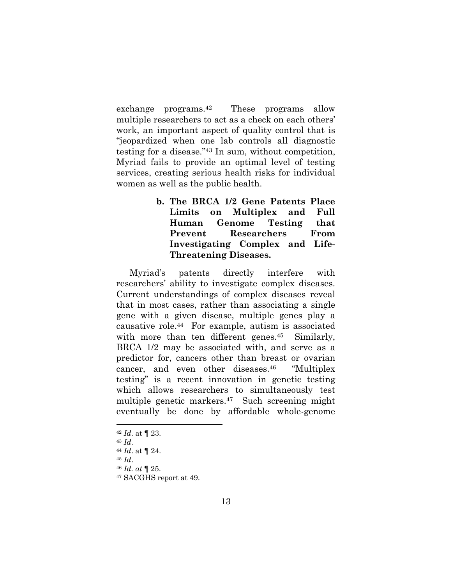exchange programs.42 These programs allow multiple researchers to act as a check on each others' work, an important aspect of quality control that is "ieopardized when one lab controls all diagnostic testing for a disease." $43$  In sum, without competition, Myriad fails to provide an optimal level of testing services, creating serious health risks for individual women as well as the public health.

> **b. The BRCA 1/2 Gene Patents Place Limits on Multiplex and Full Human Genome Testing that Prevent Researchers From Investigating Complex and Life-Threatening Diseases.**

Myriad's patents directly interfere with researchers' ability to investigate complex diseases. Current understandings of complex diseases reveal that in most cases, rather than associating a single gene with a given disease, multiple genes play a causative role.44 For example, autism is associated with more than ten different genes.<sup>45</sup> Similarly, BRCA 1/2 may be associated with, and serve as a predictor for, cancers other than breast or ovarian cancer, and even other diseases. $46$  "Multiplex" testing" is a recent innovation in genetic testing which allows researchers to simultaneously test multiple genetic markers.47 Such screening might eventually be done by affordable whole-genome

- 
- <sup>43</sup> *Id*. 44 *Id*. at ¶ 24.
- <sup>45</sup> *Id*. 46 *Id. at* ¶ 25.
- 

<sup>42</sup> *Id*. at ¶ 23.

<sup>47</sup> SACGHS report at 49.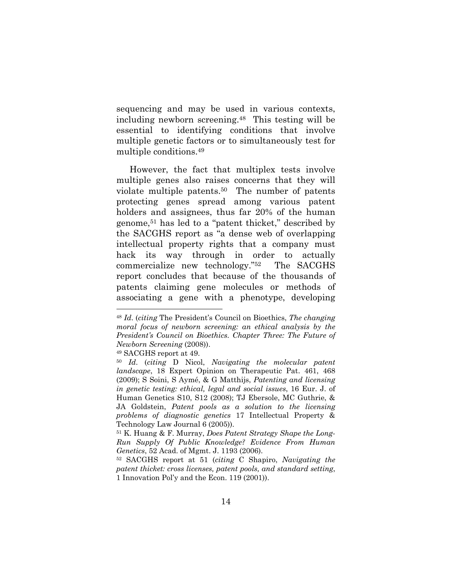sequencing and may be used in various contexts, including newborn screening.48 This testing will be essential to identifying conditions that involve multiple genetic factors or to simultaneously test for multiple conditions.49

However, the fact that multiplex tests involve multiple genes also raises concerns that they will violate multiple patents.50 The number of patents protecting genes spread among various patent holders and assignees, thus far 20% of the human genome, $51$  has led to a "patent thicket," described by the SACGHS report as "a dense web of overlapping" intellectual property rights that a company must hack its way through in order to actually commercialize new technology." $52$  The SACGHS report concludes that because of the thousands of patents claiming gene molecules or methods of associating a gene with a phenotype, developing

49 SACGHS report at 49.

<sup>&</sup>lt;sup>48</sup> *Id.* (*citing* The President's Council on Bioethics, *The changing moral focus of newborn screening: an ethical analysis by the President\*s Council on Bioethics. Chapter Three: The Future of Newborn Screening* (2008)).

<sup>50</sup> *Id*. (*citing* D Nicol, *Navigating the molecular patent landscape*, 18 Expert Opinion on Therapeutic Pat. 461, 468 (2009); S Soini, S Aymé, & G Matthijs, *Patenting and licensing in genetic testing: ethical, legal and social issues*, 16 Eur. J. of Human Genetics S10, S12 (2008); TJ Ebersole, MC Guthrie, & JA Goldstein, *Patent pools as a solution to the licensing problems of diagnostic genetics* 17 Intellectual Property & Technology Law Journal 6 (2005)).

<sup>51</sup> K. Huang & F. Murray, *Does Patent Strategy Shape the Long-Run Supply Of Public Knowledge? Evidence From Human Genetics*, 52 Acad. of Mgmt. J. 1193 (2006).

<sup>52</sup> SACGHS report at 51 (*citing* C Shapiro, *Navigating the patent thicket: cross licenses, patent pools, and standard setting*, 1 Innovation Pol'y and the Econ.  $119 (2001)$ .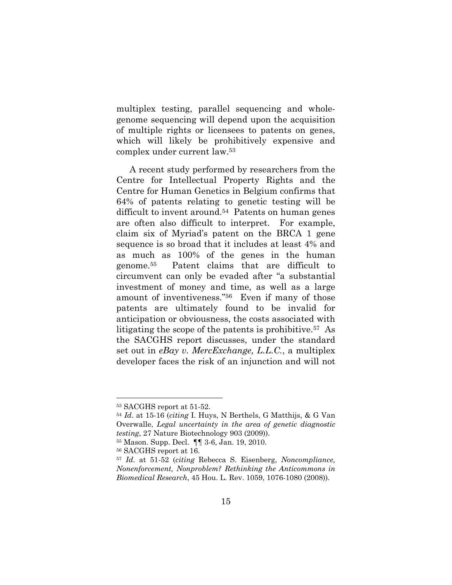multiplex testing, parallel sequencing and wholegenome sequencing will depend upon the acquisition of multiple rights or licensees to patents on genes, which will likely be prohibitively expensive and complex under current law.53

A recent study performed by researchers from the Centre for Intellectual Property Rights and the Centre for Human Genetics in Belgium confirms that 64% of patents relating to genetic testing will be difficult to invent around.54 Patents on human genes are often also difficult to interpret. For example, claim six of Myriad's patent on the BRCA 1 gene sequence is so broad that it includes at least 4% and as much as 100% of the genes in the human genome.55 Patent claims that are difficult to circumvent can only be evaded after "a substantial investment of money and time, as well as a large amount of inventiveness."<sup>56</sup> Even if many of those patents are ultimately found to be invalid for anticipation or obviousness, the costs associated with litigating the scope of the patents is prohibitive.57 As the SACGHS report discusses, under the standard set out in *eBay v. MercExchange, L.L.C.*, a multiplex developer faces the risk of an injunction and will not

<sup>53</sup> SACGHS report at 51-52.

<sup>54</sup> *Id*. at 15-16 (*citing* I. Huys, N Berthels, G Matthijs, & G Van Overwalle, *Legal uncertainty in the area of genetic diagnostic testing*, 27 Nature Biotechnology 903 (2009)).

<sup>55</sup> Mason. Supp. Decl. ¶¶ 3-6, Jan. 19, 2010.

<sup>56</sup> SACGHS report at 16.

<sup>57</sup> *Id*. at 51-52 (*citing* Rebecca S. Eisenberg, *Noncompliance, Nonenforcement, Nonproblem? Rethinking the Anticommons in Biomedical Research*, 45 Hou. L. Rev. 1059, 1076-1080 (2008)).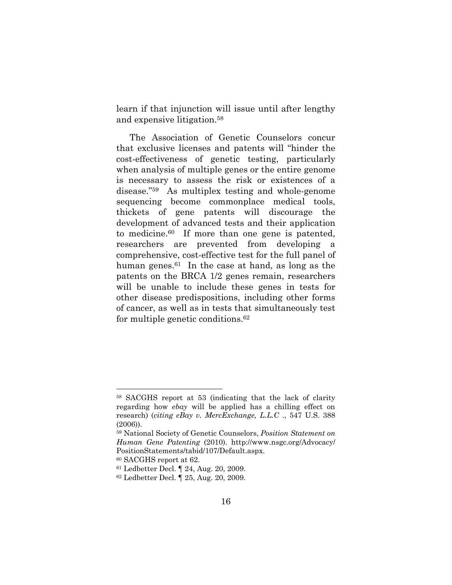learn if that injunction will issue until after lengthy and expensive litigation.58

The Association of Genetic Counselors concur that exclusive licenses and patents will "hinder the cost-effectiveness of genetic testing, particularly when analysis of multiple genes or the entire genome is necessary to assess the risk or existences of a  $disease."<sup>59</sup>$  As multiplex testing and whole-genome sequencing become commonplace medical tools, thickets of gene patents will discourage the development of advanced tests and their application to medicine.60 If more than one gene is patented, researchers are prevented from developing a comprehensive, cost-effective test for the full panel of human genes.<sup>61</sup> In the case at hand, as long as the patents on the BRCA 1/2 genes remain, researchers will be unable to include these genes in tests for other disease predispositions, including other forms of cancer, as well as in tests that simultaneously test for multiple genetic conditions.62

<sup>58</sup> SACGHS report at 53 (indicating that the lack of clarity regarding how *ebay* will be applied has a chilling effect on research) (*citing eBay v. MercExchange, L.L.C* ., 547 U.S. 388 (2006)).

<sup>59</sup> National Society of Genetic Counselors, *Position Statement on Human Gene Patenting* (2010). http://www.nsgc.org/Advocacy/ PositionStatements/tabid/107/Default.aspx.

<sup>60</sup> SACGHS report at 62.

<sup>61</sup> Ledbetter Decl. ¶ 24, Aug. 20, 2009.

<sup>62</sup> Ledbetter Decl. ¶ 25, Aug. 20, 2009.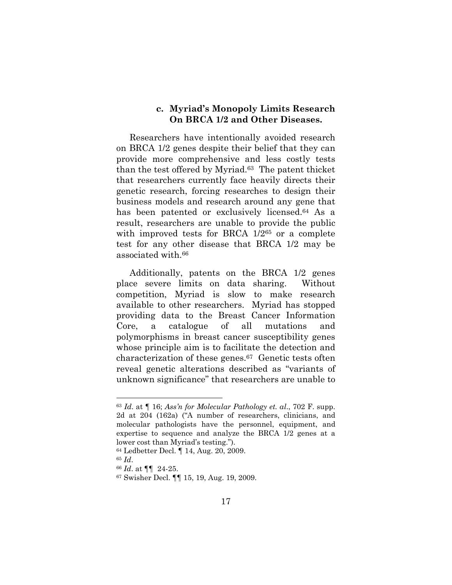#### c. Myriad's Monopoly Limits Research **On BRCA 1/2 and Other Diseases.**

Researchers have intentionally avoided research on BRCA 1/2 genes despite their belief that they can provide more comprehensive and less costly tests than the test offered by Myriad.63 The patent thicket that researchers currently face heavily directs their genetic research, forcing researches to design their business models and research around any gene that has been patented or exclusively licensed.<sup>64</sup> As a result, researchers are unable to provide the public with improved tests for BRCA  $1/2^{65}$  or a complete test for any other disease that BRCA 1/2 may be associated with.66

Additionally, patents on the BRCA 1/2 genes place severe limits on data sharing. Without competition, Myriad is slow to make research available to other researchers. Myriad has stopped providing data to the Breast Cancer Information Core, a catalogue of all mutations and polymorphisms in breast cancer susceptibility genes whose principle aim is to facilitate the detection and characterization of these genes.67 Genetic tests often reveal genetic alterations described as "variants of unknown significance" that researchers are unable to

<sup>63</sup> *Id*. at ¶ 16; *Ass\*n for Molecular Pathology et. al*., 702 F. supp. 2d at 204 (162a) ("A number of researchers, clinicians, and molecular pathologists have the personnel, equipment, and expertise to sequence and analyze the BRCA 1/2 genes at a lower cost than Myriad's testing.".

<sup>64</sup> Ledbetter Decl. ¶ 14, Aug. 20, 2009.

<sup>65</sup> *Id*. 66 *Id*. at ¶¶ 24-25.

<sup>67</sup> Swisher Decl. ¶¶ 15, 19, Aug. 19, 2009.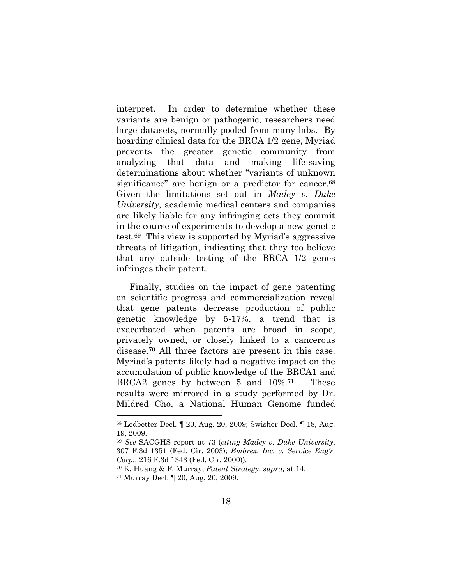interpret. In order to determine whether these variants are benign or pathogenic, researchers need large datasets, normally pooled from many labs. By hoarding clinical data for the BRCA 1/2 gene, Myriad prevents the greater genetic community from analyzing that data and making life-saving determinations about whether "variants of unknown" significance" are benign or a predictor for cancer.<sup>68</sup> Given the limitations set out in *Madey v. Duke University*, academic medical centers and companies are likely liable for any infringing acts they commit in the course of experiments to develop a new genetic test.<sup>69</sup> This view is supported by Myriad's aggressive threats of litigation, indicating that they too believe that any outside testing of the BRCA 1/2 genes infringes their patent.

Finally, studies on the impact of gene patenting on scientific progress and commercialization reveal that gene patents decrease production of public genetic knowledge by 5-17%, a trend that is exacerbated when patents are broad in scope, privately owned, or closely linked to a cancerous disease.70 All three factors are present in this case. Myriad's patents likely had a negative impact on the accumulation of public knowledge of the BRCA1 and BRCA2 genes by between 5 and 10%.71 These results were mirrored in a study performed by Dr. Mildred Cho, a National Human Genome funded

<sup>68</sup> Ledbetter Decl. ¶ 20, Aug. 20, 2009; Swisher Decl. ¶ 18, Aug. 19, 2009.

<sup>69</sup> *See* SACGHS report at 73 (*citing Madey v. Duke University*, 307 F.3d 1351 (Fed. Cir. 2003); *Embrex, Inc. v. Service Eng\*r. Corp.*, 216 F.3d 1343 (Fed. Cir. 2000)).

<sup>70</sup> K. Huang & F. Murray, *Patent Strategy, supra,* at 14.

<sup>71</sup> Murray Decl. ¶ 20, Aug. 20, 2009.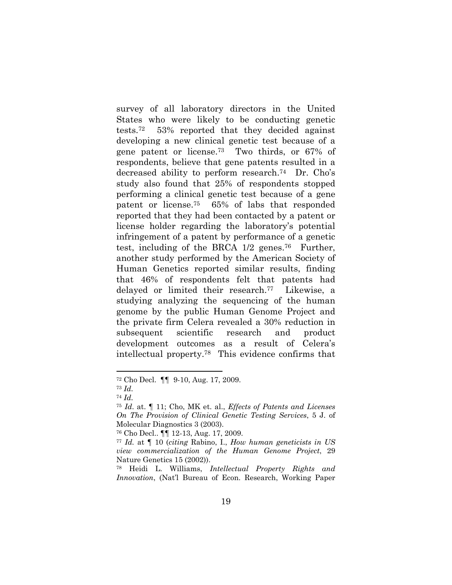survey of all laboratory directors in the United States who were likely to be conducting genetic tests.72 53% reported that they decided against developing a new clinical genetic test because of a gene patent or license.73 Two thirds, or 67% of respondents, believe that gene patents resulted in a decreased ability to perform research.<sup>74</sup> Dr. Cho's study also found that 25% of respondents stopped performing a clinical genetic test because of a gene patent or license.75 65% of labs that responded reported that they had been contacted by a patent or license holder regarding the laboratory's potential infringement of a patent by performance of a genetic test, including of the BRCA 1/2 genes.76 Further, another study performed by the American Society of Human Genetics reported similar results, finding that 46% of respondents felt that patents had delayed or limited their research.77 Likewise, a studying analyzing the sequencing of the human genome by the public Human Genome Project and the private firm Celera revealed a 30% reduction in subsequent scientific research and product development outcomes as a result of Celera's intellectual property.78 This evidence confirms that

<sup>72</sup> Cho Decl. ¶¶ 9-10, Aug. 17, 2009.

<sup>73</sup> *Id.*

<sup>74</sup> *Id.* 75 *Id*. at. ¶ 11; Cho, MK et. al., *Effects of Patents and Licenses On The Provision of Clinical Genetic Testing Services*, 5 J. of Molecular Diagnostics 3 (2003).

<sup>76</sup> Cho Decl.. ¶¶ 12-13, Aug. 17, 2009.

<sup>77</sup> *Id.* at ¶ 10 (*citing* Rabino, I., *How human geneticists in US view commercialization of the Human Genome Project*, 29 Nature Genetics 15 (2002)).

<sup>78</sup> Heidi L. Williams, *Intellectual Property Rights and Innovation*, (Nat'l Bureau of Econ. Research, Working Paper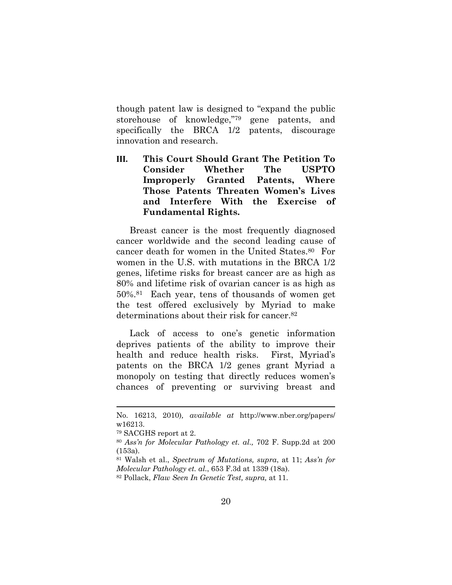though patent law is designed to "expand the public storehouse of knowledge," $79$  gene patents, and specifically the BRCA 1/2 patents, discourage innovation and research.

**III. This Court Should Grant The Petition To Consider Whether The USPTO Improperly Granted Patents, Where Those Patents Threaten Women's Lives and Interfere With the Exercise of Fundamental Rights.** 

Breast cancer is the most frequently diagnosed cancer worldwide and the second leading cause of cancer death for women in the United States.80 For women in the U.S. with mutations in the BRCA 1/2 genes, lifetime risks for breast cancer are as high as 80% and lifetime risk of ovarian cancer is as high as 50%.81 Each year, tens of thousands of women get the test offered exclusively by Myriad to make determinations about their risk for cancer.82

Lack of access to one's genetic information deprives patients of the ability to improve their health and reduce health risks. First, Myriad's patents on the BRCA 1/2 genes grant Myriad a monopoly on testing that directly reduces women's chances of preventing or surviving breast and

No. 16213, 2010)*, available at* http://www.nber.org/papers/ w16213.

<sup>79</sup> SACGHS report at 2.

<sup>80</sup> *Ass\*n for Molecular Pathology et. al.,* 702 F. Supp.2d at 200 (153a).

<sup>81</sup> Walsh et al., *Spectrum of Mutations, supra*, at 11; *Ass\*n for Molecular Pathology et. al.*, 653 F.3d at 1339 (18a).

<sup>82</sup> Pollack, *Flaw Seen In Genetic Test, supra,* at 11.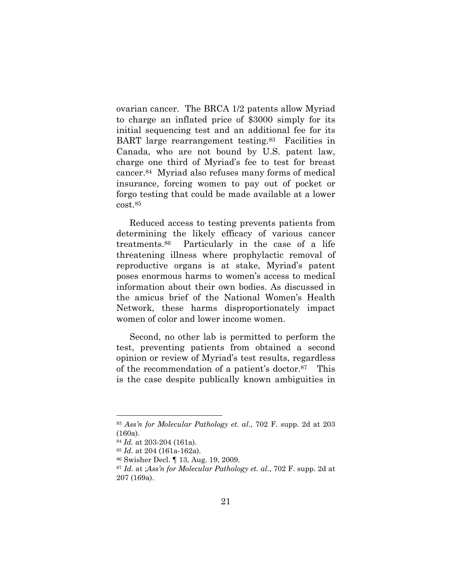ovarian cancer. The BRCA 1/2 patents allow Myriad to charge an inflated price of \$3000 simply for its initial sequencing test and an additional fee for its BART large rearrangement testing.83 Facilities in Canada, who are not bound by U.S. patent law, charge one third of Myriad's fee to test for breast cancer.84 Myriad also refuses many forms of medical insurance, forcing women to pay out of pocket or forgo testing that could be made available at a lower cost.85

Reduced access to testing prevents patients from determining the likely efficacy of various cancer treatments.86 Particularly in the case of a life threatening illness where prophylactic removal of reproductive organs is at stake, Myriad's patent poses enormous harms to women's access to medical information about their own bodies. As discussed in the amicus brief of the National Women's Health Network, these harms disproportionately impact women of color and lower income women.

Second, no other lab is permitted to perform the test, preventing patients from obtained a second opinion or review of Myriad's test results, regardless of the recommendation of a patient's doctor. $87$  This is the case despite publically known ambiguities in

<sup>83</sup> *Ass\*n for Molecular Pathology et. al*., 702 F. supp. 2d at 203 (160a).

<sup>84</sup> *Id.* at 203-204 (161a).

<sup>85</sup> *Id.* at 204 (161a-162a).

<sup>86</sup> Swisher Decl. ¶ 13, Aug. 19, 2009.

<sup>87</sup> *Id*. at ;*Ass\*n for Molecular Pathology et. al*., 702 F. supp. 2d at 207 (169a).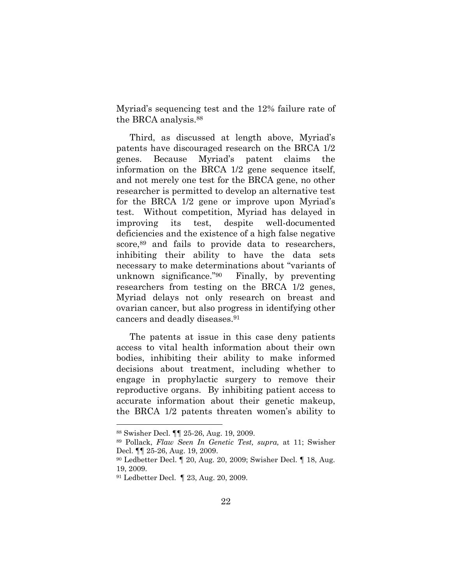Myriad's sequencing test and the 12% failure rate of the BRCA analysis.88

Third, as discussed at length above, Myriad's patents have discouraged research on the BRCA 1/2 genes. Because Myriad's patent claims the information on the BRCA 1/2 gene sequence itself, and not merely one test for the BRCA gene, no other researcher is permitted to develop an alternative test for the BRCA  $1/2$  gene or improve upon Myriad's test. Without competition, Myriad has delayed in improving its test, despite well-documented deficiencies and the existence of a high false negative score,  $89$  and fails to provide data to researchers, inhibiting their ability to have the data sets necessary to make determinations about "variants of unknown significance." $90$  Finally, by preventing researchers from testing on the BRCA 1/2 genes, Myriad delays not only research on breast and ovarian cancer, but also progress in identifying other cancers and deadly diseases.91

The patents at issue in this case deny patients access to vital health information about their own bodies, inhibiting their ability to make informed decisions about treatment, including whether to engage in prophylactic surgery to remove their reproductive organs. By inhibiting patient access to accurate information about their genetic makeup, the BRCA  $1/2$  patents threaten women's ability to

<sup>88</sup> Swisher Decl. ¶¶ 25-26, Aug. 19, 2009.

<sup>89</sup> Pollack, *Flaw Seen In Genetic Test, supra,* at 11; Swisher Decl. ¶¶ 25-26, Aug. 19, 2009.

<sup>90</sup> Ledbetter Decl. ¶ 20, Aug. 20, 2009; Swisher Decl. ¶ 18, Aug. 19, 2009.

<sup>91</sup> Ledbetter Decl. ¶ 23, Aug. 20, 2009.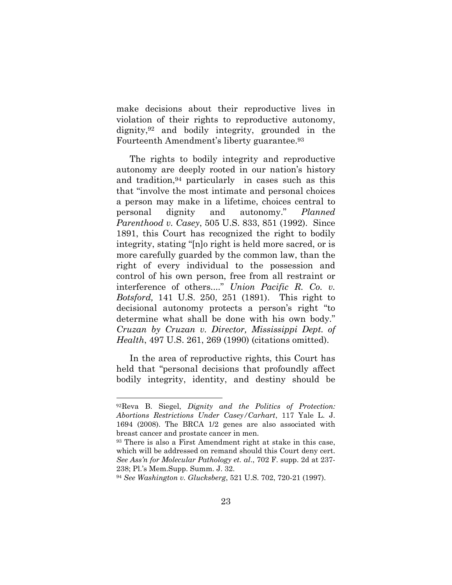make decisions about their reproductive lives in violation of their rights to reproductive autonomy, dignity,92 and bodily integrity, grounded in the Fourteenth Amendment's liberty guarantee.<sup>93</sup>

The rights to bodily integrity and reproductive autonomy are deeply rooted in our nation's history and tradition,94 particularly in cases such as this that "involve the most intimate and personal choices" a person may make in a lifetime, choices central to personal dignity and autonomy." *Planned Parenthood v. Casey*, 505 U.S. 833, 851 (1992). Since 1891, this Court has recognized the right to bodily integrity, stating "[n]o right is held more sacred, or is more carefully guarded by the common law, than the right of every individual to the possession and control of his own person, free from all restraint or interference of others...." *Union Pacific R. Co. v. Botsford,* 141 U.S. 250, 251 (1891). This right to decisional autonomy protects a person's right "to determine what shall be done with his own body." *Cruzan by Cruzan v. Director, Mississippi Dept. of Health*, 497 U.S. 261, 269 (1990) (citations omitted).

In the area of reproductive rights, this Court has held that "personal decisions that profoundly affect bodily integrity, identity, and destiny should be

<sup>&</sup>lt;sup>92</sup>Reva B. Siegel, *Dignity and the Politics of Protection: Abortions Restrictions Under Casey/Carhart*, 117 Yale L. J. 1694 (2008). The BRCA 1/2 genes are also associated with breast cancer and prostate cancer in men.

<sup>93</sup> There is also a First Amendment right at stake in this case, which will be addressed on remand should this Court deny cert. *See Ass\*n for Molecular Pathology et. al*., 702 F. supp. 2d at 237- 238; Pl.'s Mem.Supp. Summ. J. 32.

<sup>94</sup> *See Washington v. Glucksberg*, 521 U.S. 702, 720-21 (1997).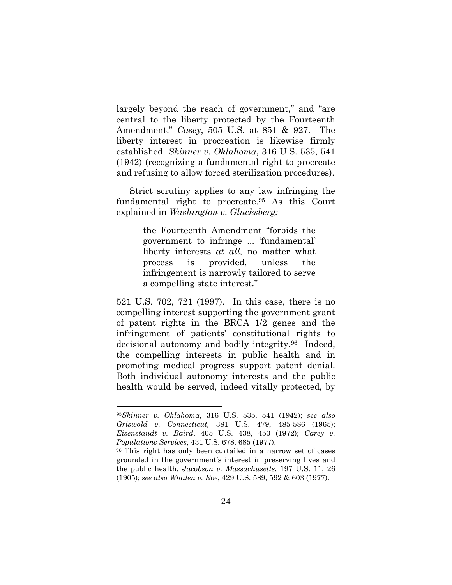largely beyond the reach of government," and "are central to the liberty protected by the Fourteenth Amendment." *Casey*, 505 U.S. at 851 & 927. The liberty interest in procreation is likewise firmly established. *Skinner v. Oklahoma*, 316 U.S. 535, 541 (1942) (recognizing a fundamental right to procreate and refusing to allow forced sterilization procedures).

Strict scrutiny applies to any law infringing the fundamental right to procreate.95 As this Court explained in *Washington v. Glucksberg:*

> the Fourteenth Amendment "forbids the government to infringe ... 'fundamental' liberty interests *at all,* no matter what process is provided, unless the infringement is narrowly tailored to serve a compelling state interest."

521 U.S. 702, 721 (1997). In this case, there is no compelling interest supporting the government grant of patent rights in the BRCA 1/2 genes and the infringement of patients' constitutional rights to decisional autonomy and bodily integrity.96 Indeed, the compelling interests in public health and in promoting medical progress support patent denial. Both individual autonomy interests and the public health would be served, indeed vitally protected, by

<sup>95</sup>*Skinner v. Oklahoma*, 316 U.S. 535, 541 (1942); *see also Griswold v. Connecticut,* 381 U.S. 479, 485-586 (1965); *Eisenstandt v. Baird*, 405 U.S. 438, 453 (1972); *Carey v. Populations Services*, 431 U.S. 678, 685 (1977).

<sup>&</sup>lt;sup>96</sup> This right has only been curtailed in a narrow set of cases grounded in the government's interest in preserving lives and the public health. *Jacobson v. Massachusetts*, 197 U.S. 11, 26 (1905); *see also Whalen v. Roe*, 429 U.S. 589, 592 & 603 (1977).